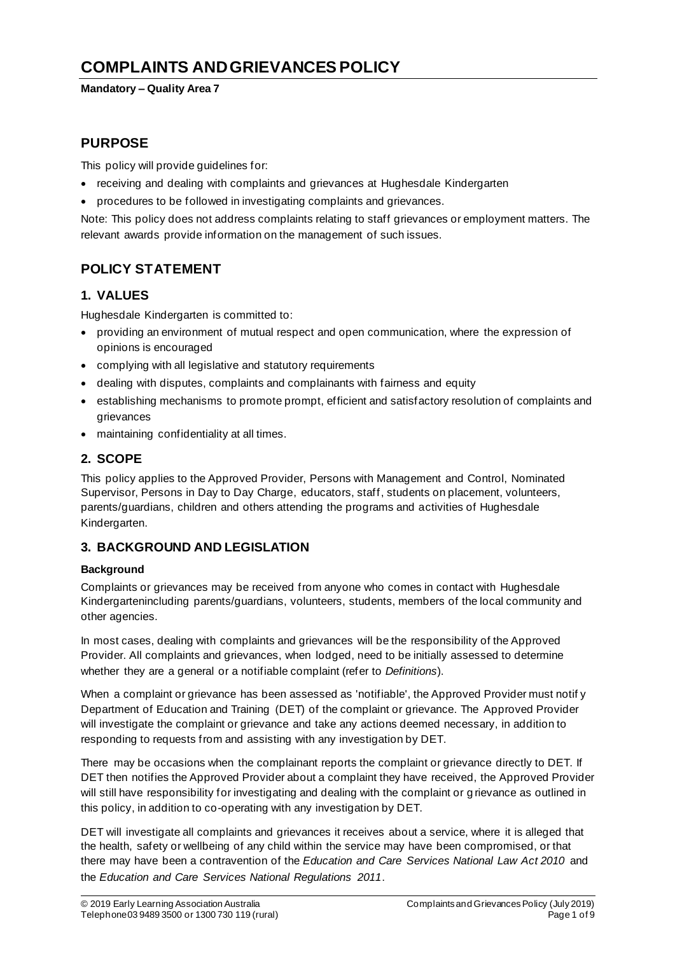# **COMPLAINTS AND GRIEVANCES POLICY**

### **Mandatory – Quality Area 7**

## **PURPOSE**

This policy will provide guidelines for:

- receiving and dealing with complaints and grievances at Hughesdale Kindergarten
- procedures to be followed in investigating complaints and grievances.

Note: This policy does not address complaints relating to staff grievances or employment matters. The relevant awards provide information on the management of such issues.

## **POLICY STATEMENT**

### **1. VALUES**

Hughesdale Kindergarten is committed to:

- providing an environment of mutual respect and open communication, where the expression of opinions is encouraged
- complying with all legislative and statutory requirements
- dealing with disputes, complaints and complainants with fairness and equity
- establishing mechanisms to promote prompt, efficient and satisfactory resolution of complaints and grievances
- maintaining confidentiality at all times.

## **2. SCOPE**

This policy applies to the Approved Provider, Persons with Management and Control, Nominated Supervisor, Persons in Day to Day Charge, educators, staff, students on placement, volunteers, parents/guardians, children and others attending the programs and activities of Hughesdale Kindergarten.

## **3. BACKGROUND AND LEGISLATION**

### **Background**

Complaints or grievances may be received from anyone who comes in contact with Hughesdale Kindergartenincluding parents/guardians, volunteers, students, members of the local community and other agencies.

In most cases, dealing with complaints and grievances will be the responsibility of the Approved Provider. All complaints and grievances, when lodged, need to be initially assessed to determine whether they are a general or a notifiable complaint (refer to *Definitions*).

When a complaint or grievance has been assessed as 'notifiable', the Approved Provider must notif y Department of Education and Training (DET) of the complaint or grievance. The Approved Provider will investigate the complaint or grievance and take any actions deemed necessary, in addition to responding to requests from and assisting with any investigation by DET.

There may be occasions when the complainant reports the complaint or grievance directly to DET. If DET then notifies the Approved Provider about a complaint they have received, the Approved Provider will still have responsibility for investigating and dealing with the complaint or g rievance as outlined in this policy, in addition to co-operating with any investigation by DET.

DET will investigate all complaints and grievances it receives about a service, where it is alleged that the health, safety or wellbeing of any child within the service may have been compromised, or that there may have been a contravention of the *Education and Care Services National Law Act 2010* and the *Education and Care Services National Regulations 2011*.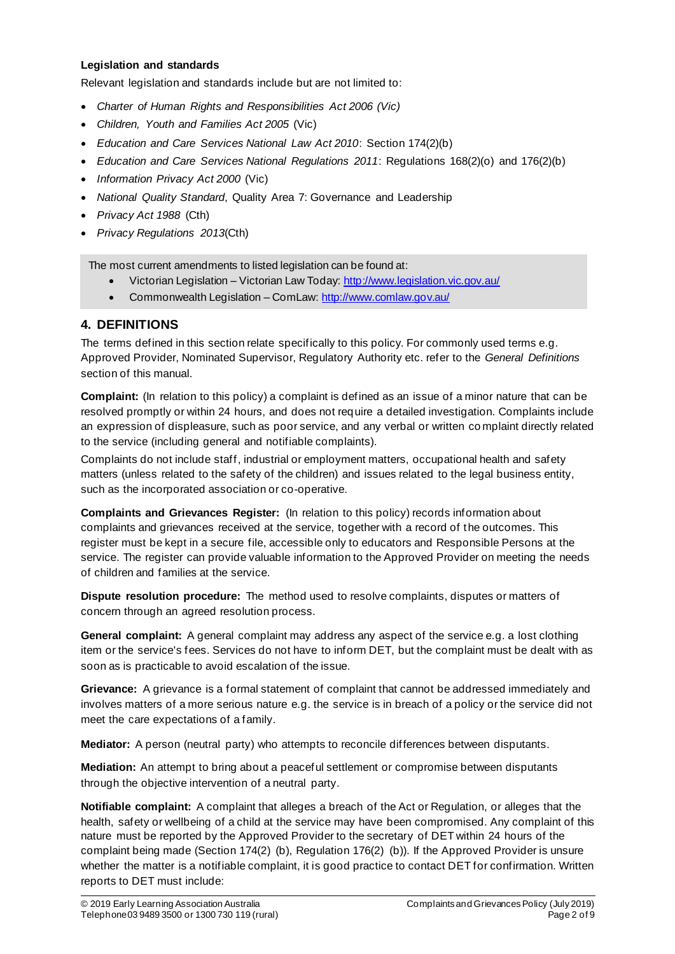### **Legislation and standards**

Relevant legislation and standards include but are not limited to:

- *Charter of Human Rights and Responsibilities Act 2006 (Vic)*
- *Children, Youth and Families Act 2005* (Vic)
- *Education and Care Services National Law Act 2010*: Section 174(2)(b)
- *Education and Care Services National Regulations 2011*: Regulations 168(2)(o) and 176(2)(b)
- *Information Privacy Act 2000* (Vic)
- *National Quality Standard*, Quality Area 7: Governance and Leadership
- *Privacy Act 1988* (Cth)
- *Privacy Regulations 2013*(Cth)

The most current amendments to listed legislation can be found at:

- Victorian Legislation Victorian Law Today: http://www.legislation.vic.gov.au/
- Commonwealth Legislation ComLaw: http://www.comlaw.gov.au/

### **4. DEFINITIONS**

The terms defined in this section relate specifically to this policy. For commonly used terms e.g. Approved Provider, Nominated Supervisor, Regulatory Authority etc. refer to the *General Definitions* section of this manual.

**Complaint:** (In relation to this policy) a complaint is defined as an issue of a minor nature that can be resolved promptly or within 24 hours, and does not require a detailed investigation. Complaints include an expression of displeasure, such as poor service, and any verbal or written co mplaint directly related to the service (including general and notifiable complaints).

Complaints do not include staff, industrial or employment matters, occupational health and safety matters (unless related to the safety of the children) and issues related to the legal business entity, such as the incorporated association or co-operative.

**Complaints and Grievances Register:** (In relation to this policy) records information about complaints and grievances received at the service, together with a record of the outcomes. This register must be kept in a secure file, accessible only to educators and Responsible Persons at the service. The register can provide valuable information to the Approved Provider on meeting the needs of children and families at the service.

**Dispute resolution procedure:** The method used to resolve complaints, disputes or matters of concern through an agreed resolution process.

**General complaint:** A general complaint may address any aspect of the service e.g. a lost clothing item or the service's fees. Services do not have to inform DET, but the complaint must be dealt with as soon as is practicable to avoid escalation of the issue.

**Grievance:** A grievance is a formal statement of complaint that cannot be addressed immediately and involves matters of a more serious nature e.g. the service is in breach of a policy or the service did not meet the care expectations of a family.

**Mediator:** A person (neutral party) who attempts to reconcile differences between disputants.

**Mediation:** An attempt to bring about a peaceful settlement or compromise between disputants through the objective intervention of a neutral party.

**Notifiable complaint:** A complaint that alleges a breach of the Act or Regulation, or alleges that the health, safety or wellbeing of a child at the service may have been compromised. Any complaint of this nature must be reported by the Approved Provider to the secretary of DET within 24 hours of the complaint being made (Section 174(2) (b), Regulation 176(2) (b)). If the Approved Provider is unsure whether the matter is a notifiable complaint, it is good practice to contact DET for confirmation. Written reports to DET must include: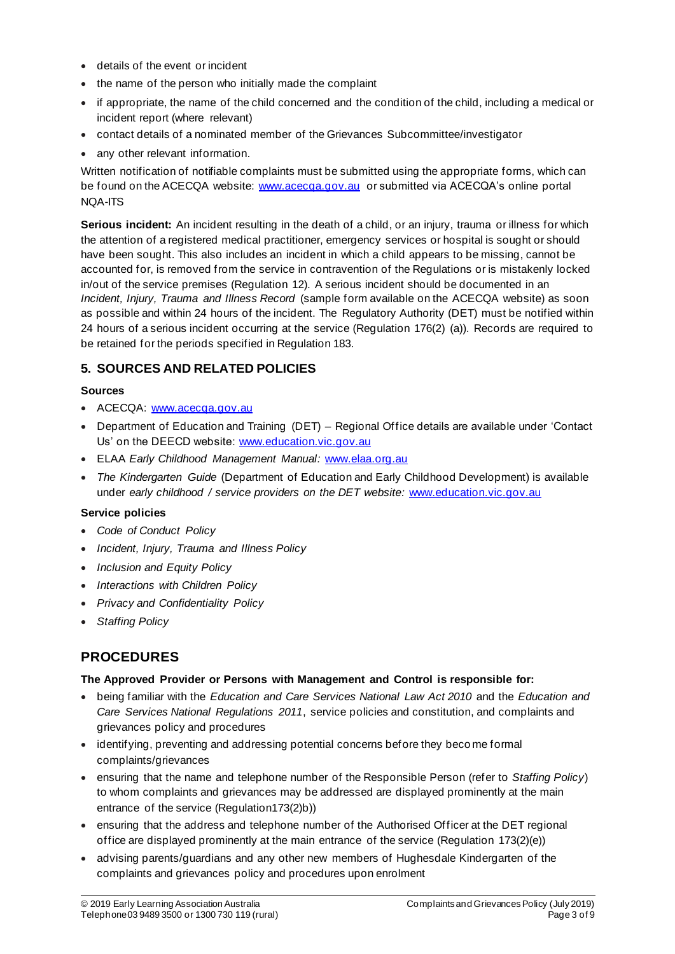- details of the event or incident
- the name of the person who initially made the complaint
- if appropriate, the name of the child concerned and the condition of the child, including a medical or incident report (where relevant)
- contact details of a nominated member of the Grievances Subcommittee/investigator
- any other relevant information.

Written notification of notifiable complaints must be submitted using the appropriate forms, which can be found on the ACECQA website: www.acecqa.gov.au or submitted via ACECQA's online portal NQA-ITS

**Serious incident:** An incident resulting in the death of a child, or an injury, trauma or illness for which the attention of a registered medical practitioner, emergency services or hospital is sought or should have been sought. This also includes an incident in which a child appears to be missing, cannot be accounted for, is removed from the service in contravention of the Regulations or is mistakenly locked in/out of the service premises (Regulation 12). A serious incident should be documented in an *Incident, Injury, Trauma and Illness Record* (sample form available on the ACECQA website) as soon as possible and within 24 hours of the incident. The Regulatory Authority (DET) must be notified within 24 hours of a serious incident occurring at the service (Regulation 176(2) (a)). Records are required to be retained for the periods specified in Regulation 183.

### **5. SOURCES AND RELATED POLICIES**

### **Sources**

- ACECQA: www.acecqa.gov.au
- Department of Education and Training (DET) Regional Office details are available under 'Contact Us' on the DEECD website: www.education.vic.gov.au
- ELAA *Early Childhood Management Manual:* www.elaa.org.au
- *The Kindergarten Guide* (Department of Education and Early Childhood Development) is available under *early childhood / service providers on the DET website:* www.education.vic.gov.au

#### **Service policies**

- *Code of Conduct Policy*
- *Incident, Injury, Trauma and Illness Policy*
- *Inclusion and Equity Policy*
- *Interactions with Children Policy*
- *Privacy and Confidentiality Policy*
- *Staffing Policy*

## **PROCEDURES**

### **The Approved Provider or Persons with Management and Control is responsible for:**

- being familiar with the *Education and Care Services National Law Act 2010* and the *Education and Care Services National Regulations 2011*, service policies and constitution, and complaints and grievances policy and procedures
- identifying, preventing and addressing potential concerns before they beco me formal complaints/grievances
- ensuring that the name and telephone number of the Responsible Person (refer to *Staffing Policy*) to whom complaints and grievances may be addressed are displayed prominently at the main entrance of the service (Regulation173(2)b))
- ensuring that the address and telephone number of the Authorised Officer at the DET regional office are displayed prominently at the main entrance of the service (Regulation 173(2)(e))
- advising parents/guardians and any other new members of Hughesdale Kindergarten of the complaints and grievances policy and procedures upon enrolment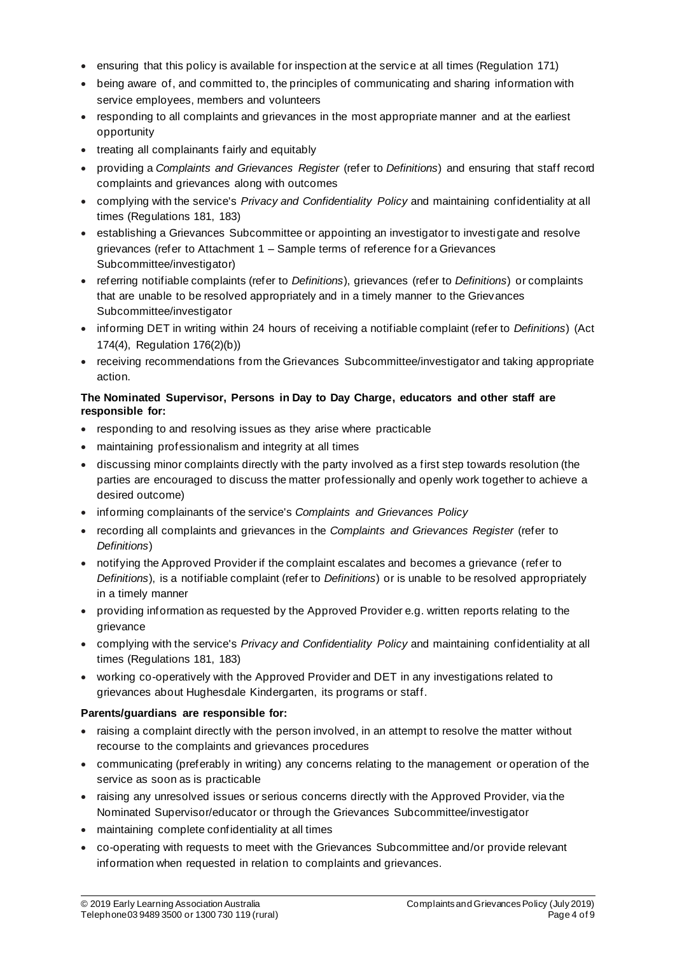- ensuring that this policy is available for inspection at the service at all times (Regulation 171)
- being aware of, and committed to, the principles of communicating and sharing information with service employees, members and volunteers
- responding to all complaints and grievances in the most appropriate manner and at the earliest opportunity
- treating all complainants fairly and equitably
- providing a *Complaints and Grievances Register* (refer to *Definitions*) and ensuring that staff record complaints and grievances along with outcomes
- complying with the service's *Privacy and Confidentiality Policy* and maintaining confidentiality at all times (Regulations 181, 183)
- establishing a Grievances Subcommittee or appointing an investigator to investigate and resolve grievances (refer to Attachment 1 – Sample terms of reference for a Grievances Subcommittee/investigator)
- referring notifiable complaints (refer to *Definitions*), grievances (refer to *Definitions*) or complaints that are unable to be resolved appropriately and in a timely manner to the Grievances Subcommittee/investigator
- informing DET in writing within 24 hours of receiving a notifiable complaint (refer to *Definitions*) (Act 174(4), Regulation 176(2)(b))
- receiving recommendations from the Grievances Subcommittee/investigator and taking appropriate action.

### **The Nominated Supervisor, Persons in Day to Day Charge, educators and other staff are responsible for:**

- responding to and resolving issues as they arise where practicable
- maintaining professionalism and integrity at all times
- discussing minor complaints directly with the party involved as a first step towards resolution (the parties are encouraged to discuss the matter professionally and openly work together to achieve a desired outcome)
- informing complainants of the service's *Complaints and Grievances Policy*
- recording all complaints and grievances in the *Complaints and Grievances Register* (refer to *Definitions*)
- notifying the Approved Provider if the complaint escalates and becomes a grievance (refer to *Definitions*), is a notifiable complaint (refer to *Definitions*) or is unable to be resolved appropriately in a timely manner
- providing information as requested by the Approved Provider e.g. written reports relating to the grievance
- complying with the service's *Privacy and Confidentiality Policy* and maintaining confidentiality at all times (Regulations 181, 183)
- working co-operatively with the Approved Provider and DET in any investigations related to grievances about Hughesdale Kindergarten, its programs or staff.

### **Parents/guardians are responsible for:**

- raising a complaint directly with the person involved, in an attempt to resolve the matter without recourse to the complaints and grievances procedures
- communicating (preferably in writing) any concerns relating to the management or operation of the service as soon as is practicable
- raising any unresolved issues or serious concerns directly with the Approved Provider, via the Nominated Supervisor/educator or through the Grievances Subcommittee/investigator
- maintaining complete confidentiality at all times
- co-operating with requests to meet with the Grievances Subcommittee and/or provide relevant information when requested in relation to complaints and grievances.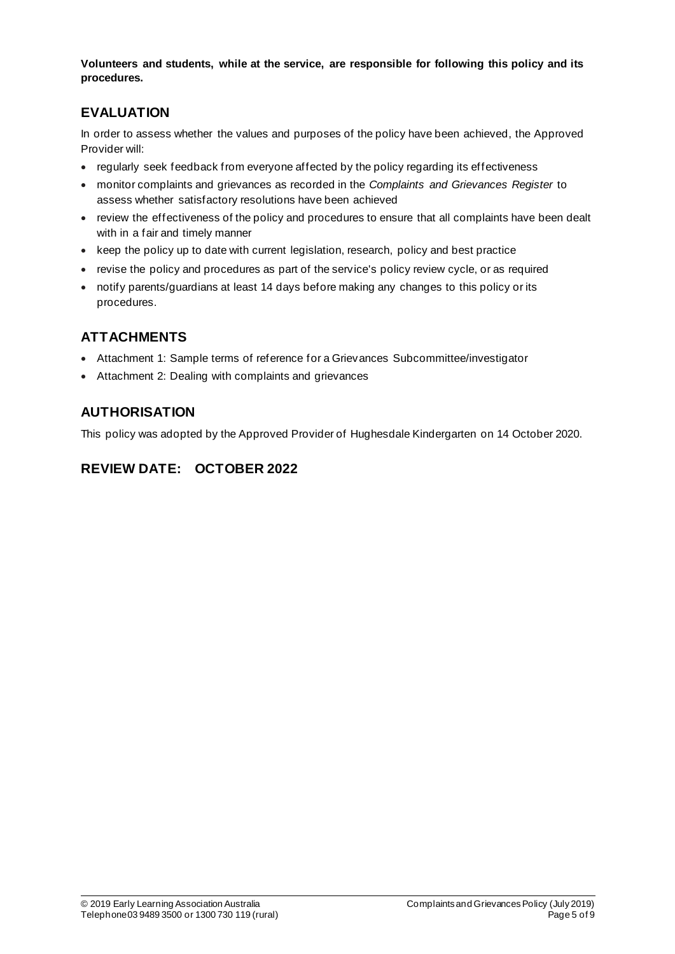**Volunteers and students, while at the service, are responsible for following this policy and its procedures.**

## **EVALUATION**

In order to assess whether the values and purposes of the policy have been achieved, the Approved Provider will:

- regularly seek feedback from everyone affected by the policy regarding its effectiveness
- monitor complaints and grievances as recorded in the *Complaints and Grievances Register* to assess whether satisfactory resolutions have been achieved
- review the effectiveness of the policy and procedures to ensure that all complaints have been dealt with in a fair and timely manner
- keep the policy up to date with current legislation, research, policy and best practice
- revise the policy and procedures as part of the service's policy review cycle, or as required
- notify parents/guardians at least 14 days before making any changes to this policy or its procedures.

## **ATTACHMENTS**

- Attachment 1: Sample terms of reference for a Grievances Subcommittee/investigator
- Attachment 2: Dealing with complaints and grievances

## **AUTHORISATION**

This policy was adopted by the Approved Provider of Hughesdale Kindergarten on 14 October 2020.

## **REVIEW DATE: OCTOBER 2022**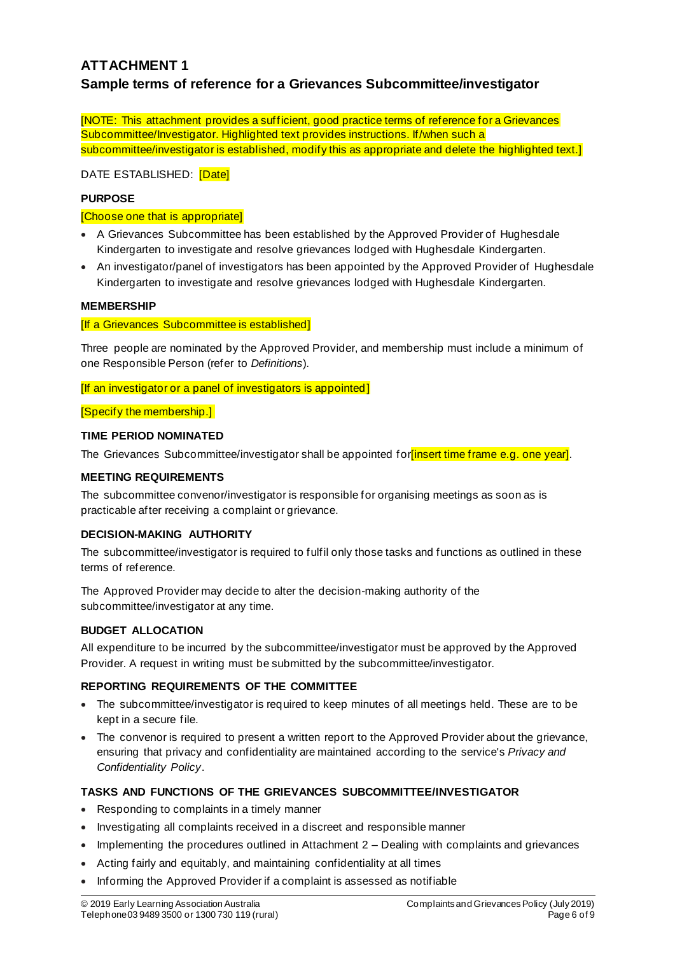## **ATTACHMENT 1 Sample terms of reference for a Grievances Subcommittee/investigator**

[NOTE: This attachment provides a sufficient, good practice terms of reference for a Grievances Subcommittee/Investigator. Highlighted text provides instructions. If/when such a subcommittee/investigator is established, modify this as appropriate and delete the highlighted text.]

DATE ESTABLISHED: [Date]

### **PURPOSE**

#### [Choose one that is appropriate]

- A Grievances Subcommittee has been established by the Approved Provider of Hughesdale Kindergarten to investigate and resolve grievances lodged with Hughesdale Kindergarten.
- An investigator/panel of investigators has been appointed by the Approved Provider of Hughesdale Kindergarten to investigate and resolve grievances lodged with Hughesdale Kindergarten.

### **MEMBERSHIP**

### [If a Grievances Subcommittee is established]

Three people are nominated by the Approved Provider, and membership must include a minimum of one Responsible Person (refer to *Definitions*).

[If an investigator or a panel of investigators is appointed]

[Specify the membership.]

### **TIME PERIOD NOMINATED**

The Grievances Subcommittee/investigator shall be appointed for insert time frame e.g. one year].

### **MEETING REQUIREMENTS**

The subcommittee convenor/investigator is responsible for organising meetings as soon as is practicable after receiving a complaint or grievance.

### **DECISION-MAKING AUTHORITY**

The subcommittee/investigator is required to fulfil only those tasks and functions as outlined in these terms of reference.

The Approved Provider may decide to alter the decision-making authority of the subcommittee/investigator at any time.

### **BUDGET ALLOCATION**

All expenditure to be incurred by the subcommittee/investigator must be approved by the Approved Provider. A request in writing must be submitted by the subcommittee/investigator.

### **REPORTING REQUIREMENTS OF THE COMMITTEE**

- The subcommittee/investigator is required to keep minutes of all meetings held. These are to be kept in a secure file.
- The convenor is required to present a written report to the Approved Provider about the grievance, ensuring that privacy and confidentiality are maintained according to the service's *Privacy and Confidentiality Policy*.

### **TASKS AND FUNCTIONS OF THE GRIEVANCES SUBCOMMITTEE/INVESTIGATOR**

- Responding to complaints in a timely manner
- Investigating all complaints received in a discreet and responsible manner
- Implementing the procedures outlined in Attachment 2 Dealing with complaints and grievances
- Acting fairly and equitably, and maintaining confidentiality at all times
- Informing the Approved Provider if a complaint is assessed as notifiable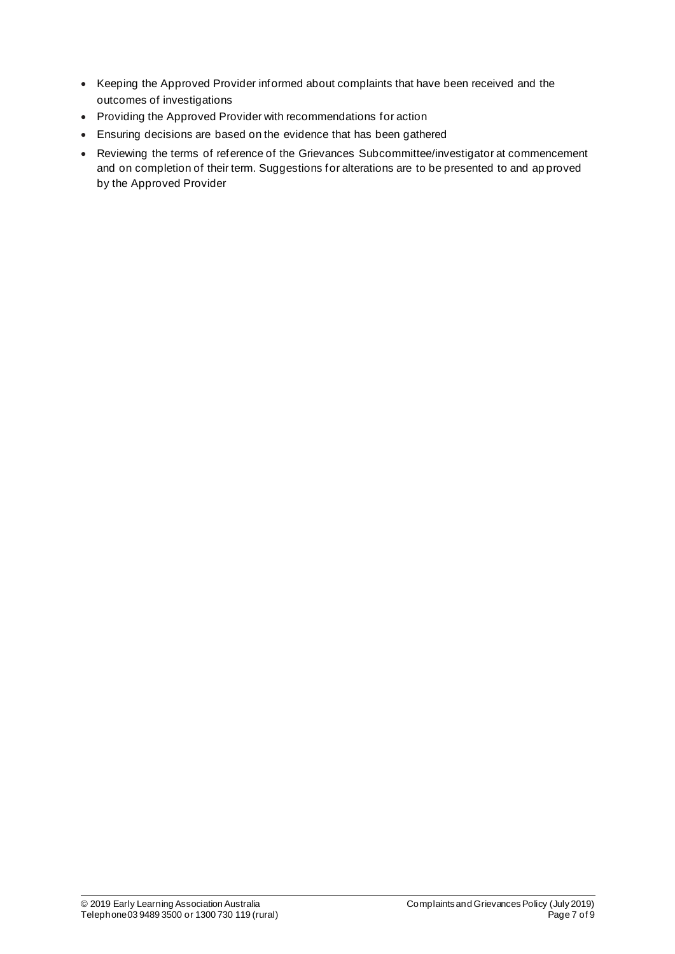- Keeping the Approved Provider informed about complaints that have been received and the outcomes of investigations
- Providing the Approved Provider with recommendations for action
- Ensuring decisions are based on the evidence that has been gathered
- Reviewing the terms of reference of the Grievances Subcommittee/investigator at commencement and on completion of their term. Suggestions for alterations are to be presented to and ap proved by the Approved Provider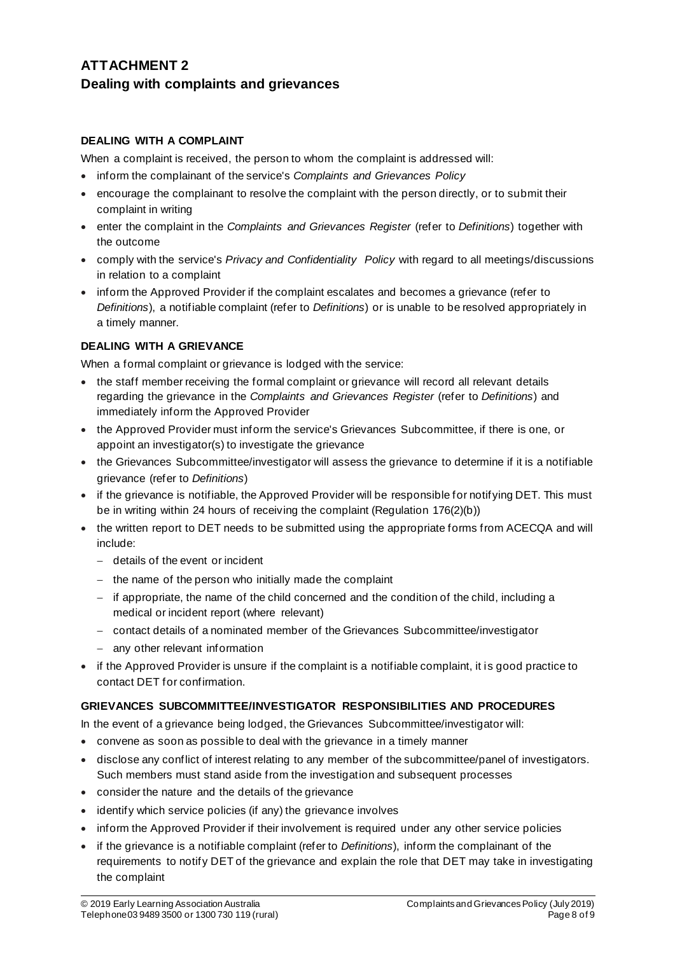## **ATTACHMENT 2 Dealing with complaints and grievances**

### **DEALING WITH A COMPLAINT**

When a complaint is received, the person to whom the complaint is addressed will:

- inform the complainant of the service's *Complaints and Grievances Policy*
- encourage the complainant to resolve the complaint with the person directly, or to submit their complaint in writing
- enter the complaint in the *Complaints and Grievances Register* (refer to *Definitions*) together with the outcome
- comply with the service's *Privacy and Confidentiality Policy* with regard to all meetings/discussions in relation to a complaint
- inform the Approved Provider if the complaint escalates and becomes a grievance (refer to *Definitions*), a notifiable complaint (refer to *Definitions*) or is unable to be resolved appropriately in a timely manner.

### **DEALING WITH A GRIEVANCE**

When a formal complaint or grievance is lodged with the service:

- the staff member receiving the formal complaint or grievance will record all relevant details regarding the grievance in the *Complaints and Grievances Register* (refer to *Definitions*) and immediately inform the Approved Provider
- the Approved Provider must inform the service's Grievances Subcommittee, if there is one, or appoint an investigator(s) to investigate the grievance
- the Grievances Subcommittee/investigator will assess the grievance to determine if it is a notifiable grievance (refer to *Definitions*)
- if the grievance is notifiable, the Approved Provider will be responsible for notifying DET. This must be in writing within 24 hours of receiving the complaint (Regulation 176(2)(b))
- the written report to DET needs to be submitted using the appropriate forms from ACECQA and will include:
	- − details of the event or incident
	- − the name of the person who initially made the complaint
	- − if appropriate, the name of the child concerned and the condition of the child, including a medical or incident report (where relevant)
	- − contact details of a nominated member of the Grievances Subcommittee/investigator
	- − any other relevant information
- if the Approved Provider is unsure if the complaint is a notifiable complaint, it is good practice to contact DET for confirmation.

### **GRIEVANCES SUBCOMMITTEE/INVESTIGATOR RESPONSIBILITIES AND PROCEDURES**

In the event of a grievance being lodged, the Grievances Subcommittee/investigator will:

- convene as soon as possible to deal with the grievance in a timely manner
- disclose any conflict of interest relating to any member of the subcommittee/panel of investigators. Such members must stand aside from the investigation and subsequent processes
- consider the nature and the details of the grievance
- identify which service policies (if any) the grievance involves
- inform the Approved Provider if their involvement is required under any other service policies
- if the grievance is a notifiable complaint (refer to *Definitions*), inform the complainant of the requirements to notify DET of the grievance and explain the role that DET may take in investigating the complaint